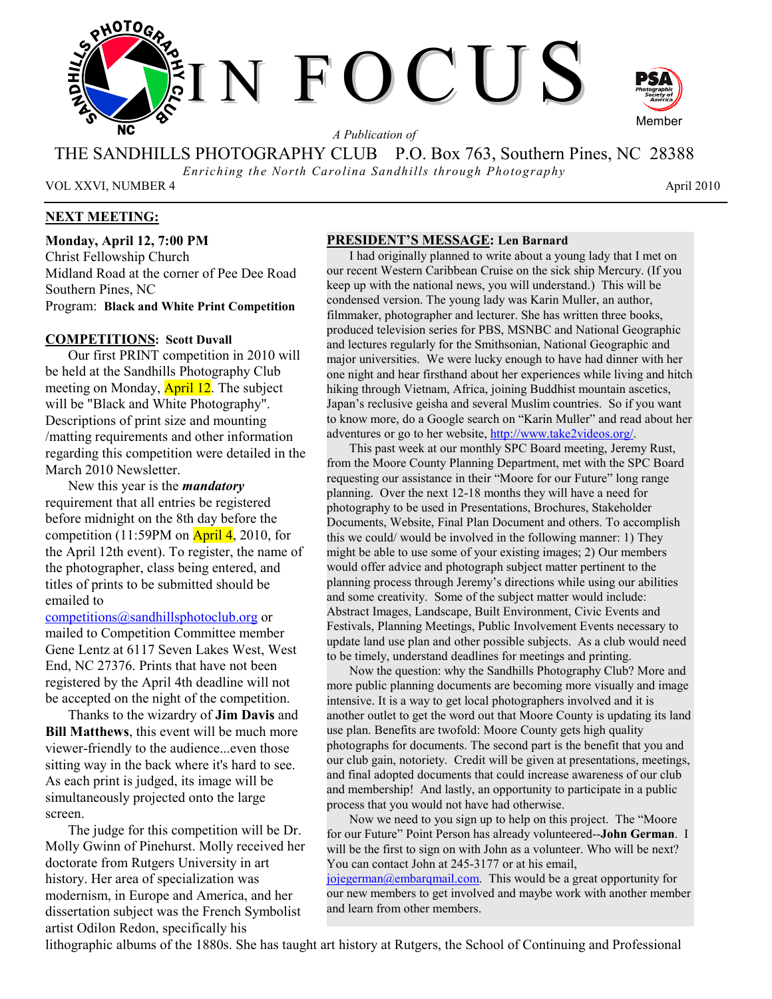

*A Publication of* 

THE SANDHILLS PHOTOGRAPHY CLUB P.O. Box 763, Southern Pines, NC 28388

*Enriching the North Carolina Sandhills through Photography* 

VOL XXVI, NUMBER 4 April 2010

### **NEXT MEETING:**

**Monday, April 12, 7:00 PM**  Christ Fellowship Church Midland Road at the corner of Pee Dee Road Southern Pines, NC Program: **Black and White Print Competition**

#### **COMPETITIONS: Scott Duvall**

Our first PRINT competition in 2010 will be held at the Sandhills Photography Club meeting on Monday, **April 12**. The subject will be "Black and White Photography". Descriptions of print size and mounting /matting requirements and other information regarding this competition were detailed in the March 2010 Newsletter.

New this year is the *mandatory* requirement that all entries be registered before midnight on the 8th day before the competition (11:59PM on  $\overline{April 4}$ , 2010, for the April 12th event). To register, the name of the photographer, class being entered, and titles of prints to be submitted should be emailed to

competitions@sandhillsphotoclub.org or mailed to Competition Committee member Gene Lentz at 6117 Seven Lakes West, West End, NC 27376. Prints that have not been registered by the April 4th deadline will not be accepted on the night of the competition.

Thanks to the wizardry of **Jim Davis** and **Bill Matthews**, this event will be much more viewer-friendly to the audience...even those sitting way in the back where it's hard to see. As each print is judged, its image will be simultaneously projected onto the large screen.

The judge for this competition will be Dr. Molly Gwinn of Pinehurst. Molly received her doctorate from Rutgers University in art history. Her area of specialization was modernism, in Europe and America, and her dissertation subject was the French Symbolist artist Odilon Redon, specifically his

#### **PRESIDENT'S MESSAGE: Len Barnard**

I had originally planned to write about a young lady that I met on our recent Western Caribbean Cruise on the sick ship Mercury. (If you keep up with the national news, you will understand.) This will be condensed version. The young lady was Karin Muller, an author, filmmaker, photographer and lecturer. She has written three books, produced television series for PBS, MSNBC and National Geographic and lectures regularly for the Smithsonian, National Geographic and major universities. We were lucky enough to have had dinner with her one night and hear firsthand about her experiences while living and hitch hiking through Vietnam, Africa, joining Buddhist mountain ascetics, Japan's reclusive geisha and several Muslim countries. So if you want to know more, do a Google search on "Karin Muller" and read about her adventures or go to her website, http://www.take2videos.org/.

This past week at our monthly SPC Board meeting, Jeremy Rust, from the Moore County Planning Department, met with the SPC Board requesting our assistance in their "Moore for our Future" long range planning. Over the next 12-18 months they will have a need for photography to be used in Presentations, Brochures, Stakeholder Documents, Website, Final Plan Document and others. To accomplish this we could/ would be involved in the following manner: 1) They might be able to use some of your existing images; 2) Our members would offer advice and photograph subject matter pertinent to the planning process through Jeremy's directions while using our abilities and some creativity. Some of the subject matter would include: Abstract Images, Landscape, Built Environment, Civic Events and Festivals, Planning Meetings, Public Involvement Events necessary to update land use plan and other possible subjects. As a club would need to be timely, understand deadlines for meetings and printing.

Now the question: why the Sandhills Photography Club? More and more public planning documents are becoming more visually and image intensive. It is a way to get local photographers involved and it is another outlet to get the word out that Moore County is updating its land use plan. Benefits are twofold: Moore County gets high quality photographs for documents. The second part is the benefit that you and our club gain, notoriety. Credit will be given at presentations, meetings, and final adopted documents that could increase awareness of our club and membership! And lastly, an opportunity to participate in a public process that you would not have had otherwise.

Now we need to you sign up to help on this project. The "Moore for our Future" Point Person has already volunteered--**John German**. I will be the first to sign on with John as a volunteer. Who will be next? You can contact John at 245-3177 or at his email,

jojegerman@embarqmail.com. This would be a great opportunity for our new members to get involved and maybe work with another member and learn from other members.

lithographic albums of the 1880s. She has taught art history at Rutgers, the School of Continuing and Professional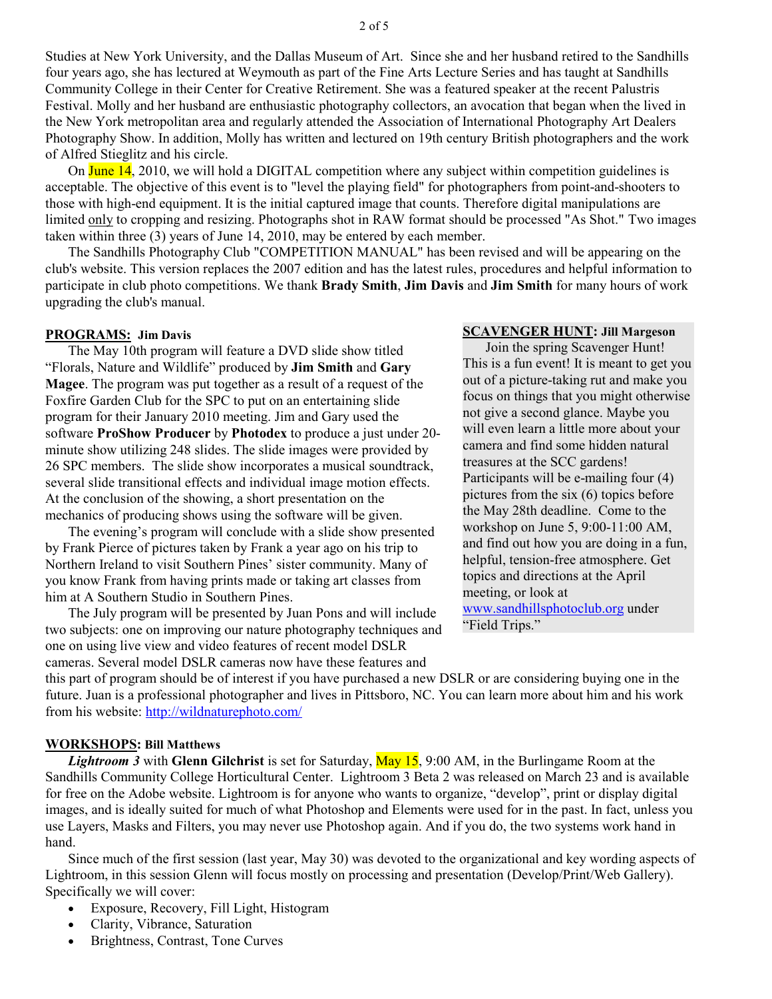Studies at New York University, and the Dallas Museum of Art. Since she and her husband retired to the Sandhills four years ago, she has lectured at Weymouth as part of the Fine Arts Lecture Series and has taught at Sandhills Community College in their Center for Creative Retirement. She was a featured speaker at the recent Palustris Festival. Molly and her husband are enthusiastic photography collectors, an avocation that began when the lived in the New York metropolitan area and regularly attended the Association of International Photography Art Dealers Photography Show. In addition, Molly has written and lectured on 19th century British photographers and the work of Alfred Stieglitz and his circle.

On June  $14$ , 2010, we will hold a DIGITAL competition where any subject within competition guidelines is acceptable. The objective of this event is to "level the playing field" for photographers from point-and-shooters to those with high-end equipment. It is the initial captured image that counts. Therefore digital manipulations are limited only to cropping and resizing. Photographs shot in RAW format should be processed "As Shot." Two images taken within three (3) years of June 14, 2010, may be entered by each member.

The Sandhills Photography Club "COMPETITION MANUAL" has been revised and will be appearing on the club's website. This version replaces the 2007 edition and has the latest rules, procedures and helpful information to participate in club photo competitions. We thank **Brady Smith**, **Jim Davis** and **Jim Smith** for many hours of work upgrading the club's manual.

#### **PROGRAMS: Jim Davis**

The May 10th program will feature a DVD slide show titled "Florals, Nature and Wildlife" produced by **Jim Smith** and **Gary Magee**. The program was put together as a result of a request of the Foxfire Garden Club for the SPC to put on an entertaining slide program for their January 2010 meeting. Jim and Gary used the software **ProShow Producer** by **Photodex** to produce a just under 20 minute show utilizing 248 slides. The slide images were provided by 26 SPC members. The slide show incorporates a musical soundtrack, several slide transitional effects and individual image motion effects. At the conclusion of the showing, a short presentation on the mechanics of producing shows using the software will be given.

The evening's program will conclude with a slide show presented by Frank Pierce of pictures taken by Frank a year ago on his trip to Northern Ireland to visit Southern Pines' sister community. Many of you know Frank from having prints made or taking art classes from him at A Southern Studio in Southern Pines.

The July program will be presented by Juan Pons and will include two subjects: one on improving our nature photography techniques and one on using live view and video features of recent model DSLR cameras. Several model DSLR cameras now have these features and

### **SCAVENGER HUNT: Jill Margeson**

Join the spring Scavenger Hunt! This is a fun event! It is meant to get you out of a picture-taking rut and make you focus on things that you might otherwise not give a second glance. Maybe you will even learn a little more about your camera and find some hidden natural treasures at the SCC gardens! Participants will be e-mailing four (4) pictures from the six (6) topics before the May 28th deadline. Come to the workshop on June 5, 9:00-11:00 AM, and find out how you are doing in a fun, helpful, tension-free atmosphere. Get topics and directions at the April meeting, or look at www.sandhillsphotoclub.org under "Field Trips."

this part of program should be of interest if you have purchased a new DSLR or are considering buying one in the future. Juan is a professional photographer and lives in Pittsboro, NC. You can learn more about him and his work from his website: http://wildnaturephoto.com/

#### **WORKSHOPS: Bill Matthews**

*Lightroom 3* with **Glenn Gilchrist** is set for Saturday, May 15, 9:00 AM, in the Burlingame Room at the Sandhills Community College Horticultural Center. Lightroom 3 Beta 2 was released on March 23 and is available for free on the Adobe website. Lightroom is for anyone who wants to organize, "develop", print or display digital images, and is ideally suited for much of what Photoshop and Elements were used for in the past. In fact, unless you use Layers, Masks and Filters, you may never use Photoshop again. And if you do, the two systems work hand in hand.

Since much of the first session (last year, May 30) was devoted to the organizational and key wording aspects of Lightroom, in this session Glenn will focus mostly on processing and presentation (Develop/Print/Web Gallery). Specifically we will cover:

- Exposure, Recovery, Fill Light, Histogram
- Clarity, Vibrance, Saturation
- Brightness, Contrast, Tone Curves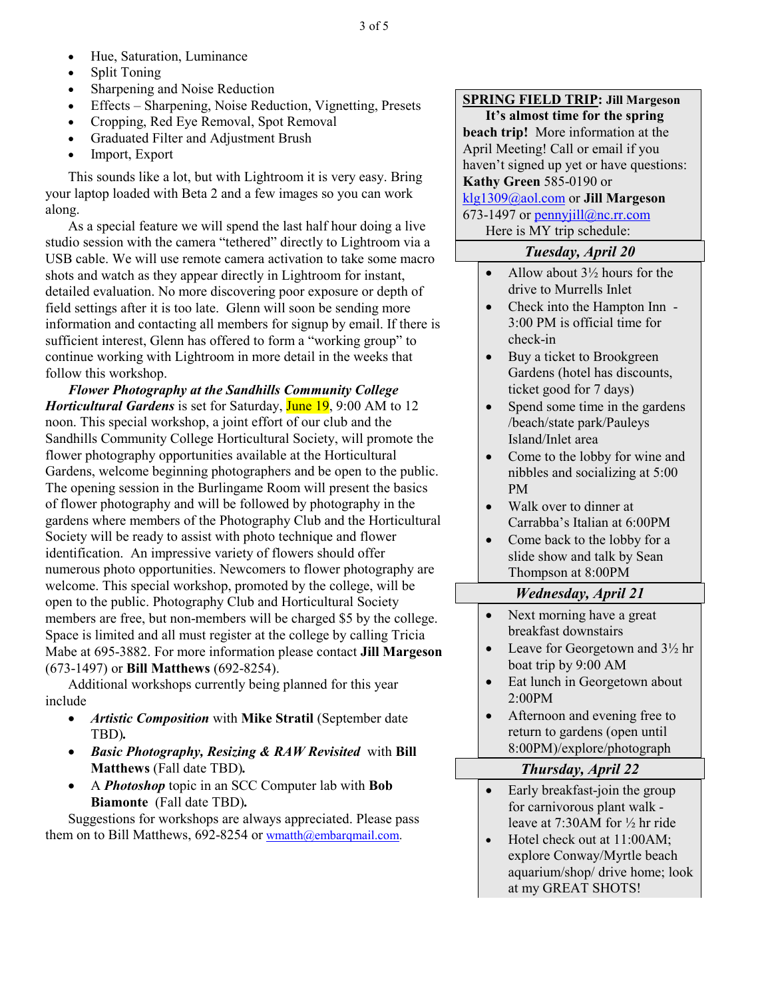- Hue, Saturation, Luminance
- Split Toning
- Sharpening and Noise Reduction
- Effects Sharpening, Noise Reduction, Vignetting, Presets
- Cropping, Red Eye Removal, Spot Removal
- Graduated Filter and Adjustment Brush
- Import, Export

This sounds like a lot, but with Lightroom it is very easy. Bring your laptop loaded with Beta 2 and a few images so you can work along.

As a special feature we will spend the last half hour doing a live studio session with the camera "tethered" directly to Lightroom via a USB cable. We will use remote camera activation to take some macro shots and watch as they appear directly in Lightroom for instant, detailed evaluation. No more discovering poor exposure or depth of field settings after it is too late. Glenn will soon be sending more information and contacting all members for signup by email. If there is sufficient interest, Glenn has offered to form a "working group" to continue working with Lightroom in more detail in the weeks that follow this workshop.

*Flower Photography at the Sandhills Community College Horticultural Gardens* is set for Saturday, **June 19**, 9:00 AM to 12 noon. This special workshop, a joint effort of our club and the Sandhills Community College Horticultural Society, will promote the flower photography opportunities available at the Horticultural Gardens, welcome beginning photographers and be open to the public. The opening session in the Burlingame Room will present the basics of flower photography and will be followed by photography in the gardens where members of the Photography Club and the Horticultural Society will be ready to assist with photo technique and flower identification. An impressive variety of flowers should offer numerous photo opportunities. Newcomers to flower photography are welcome. This special workshop, promoted by the college, will be open to the public. Photography Club and Horticultural Society members are free, but non-members will be charged \$5 by the college. Space is limited and all must register at the college by calling Tricia Mabe at 695-3882. For more information please contact **Jill Margeson** (673-1497) or **Bill Matthews** (692-8254).

Additional workshops currently being planned for this year include

- *Artistic Composition* with Mike Stratil (September date TBD)*.*
- *Basic Photography, Resizing & RAW Revisited* with **Bill Matthews** (Fall date TBD)*.*
- A *Photoshop* topic in an SCC Computer lab with **Bob Biamonte** (Fall date TBD)*.*

Suggestions for workshops are always appreciated. Please pass them on to Bill Matthews, 692-8254 or wmatth@embarqmail.com.

### **SPRING FIELD TRIP: Jill Margeson**

**It's almost time for the spring beach trip!** More information at the April Meeting! Call or email if you haven't signed up yet or have questions: **Kathy Green** 585-0190 or klg1309@aol.com or **Jill Margeson** 673-1497 or pennyjill@nc.rr.com

Here is MY trip schedule:

# *Tuesday, April 20*

- Allow about  $3\frac{1}{2}$  hours for the drive to Murrells Inlet
- Check into the Hampton Inn -3:00 PM is official time for check-in
- Buy a ticket to Brookgreen Gardens (hotel has discounts, ticket good for 7 days)
- Spend some time in the gardens /beach/state park/Pauleys Island/Inlet area
- Come to the lobby for wine and nibbles and socializing at 5:00 PM
- Walk over to dinner at Carrabba's Italian at 6:00PM
- Come back to the lobby for a slide show and talk by Sean Thompson at 8:00PM

# *Wednesday, April 21*

- Next morning have a great breakfast downstairs
- Leave for Georgetown and  $3\frac{1}{2}$  hr boat trip by 9:00 AM
- Eat lunch in Georgetown about 2:00PM
- Afternoon and evening free to return to gardens (open until 8:00PM)/explore/photograph

### *Thursday, April 22*

- Early breakfast-join the group for carnivorous plant walk leave at 7:30AM for ½ hr ride
- Hotel check out at 11:00AM; explore Conway/Myrtle beach aquarium/shop/ drive home; look at my GREAT SHOTS!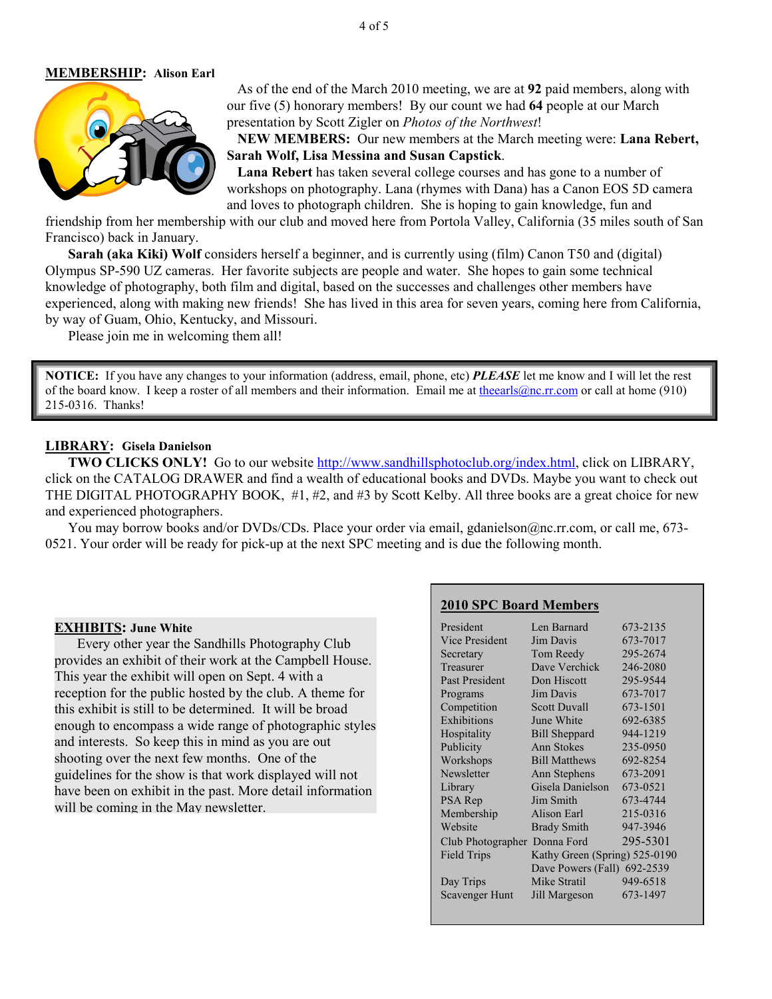### **MEMBERSHIP: Alison Earl**



 As of the end of the March 2010 meeting, we are at **92** paid members, along with our five (5) honorary members! By our count we had **64** people at our March presentation by Scott Zigler on *Photos of the Northwest*!

 **NEW MEMBERS:** Our new members at the March meeting were: **Lana Rebert, Sarah Wolf, Lisa Messina and Susan Capstick**.

 **Lana Rebert** has taken several college courses and has gone to a number of workshops on photography. Lana (rhymes with Dana) has a Canon EOS 5D camera and loves to photograph children. She is hoping to gain knowledge, fun and

friendship from her membership with our club and moved here from Portola Valley, California (35 miles south of San Francisco) back in January.

**Sarah (aka Kiki) Wolf** considers herself a beginner, and is currently using (film) Canon T50 and (digital) Olympus SP-590 UZ cameras. Her favorite subjects are people and water. She hopes to gain some technical knowledge of photography, both film and digital, based on the successes and challenges other members have experienced, along with making new friends! She has lived in this area for seven years, coming here from California, by way of Guam, Ohio, Kentucky, and Missouri.

Please join me in welcoming them all!

**NOTICE:** If you have any changes to your information (address, email, phone, etc) *PLEASE* let me know and I will let the rest of the board know. I keep a roster of all members and their information. Email me at theearls@nc.rr.com or call at home (910) 215-0316. Thanks!

#### **LIBRARY: Gisela Danielson**

**TWO CLICKS ONLY!** Go to our website http://www.sandhillsphotoclub.org/index.html, click on LIBRARY, click on the CATALOG DRAWER and find a wealth of educational books and DVDs. Maybe you want to check out THE DIGITAL PHOTOGRAPHY BOOK, #1, #2, and #3 by Scott Kelby. All three books are a great choice for new and experienced photographers.

You may borrow books and/or DVDs/CDs. Place your order via email, gdanielson@nc.rr.com, or call me, 673-0521. Your order will be ready for pick-up at the next SPC meeting and is due the following month.

#### **EXHIBITS: June White**

Every other year the Sandhills Photography Club provides an exhibit of their work at the Campbell House. This year the exhibit will open on Sept. 4 with a reception for the public hosted by the club. A theme for this exhibit is still to be determined. It will be broad enough to encompass a wide range of photographic styles and interests. So keep this in mind as you are out shooting over the next few months. One of the guidelines for the show is that work displayed will not have been on exhibit in the past. More detail information will be coming in the May newsletter.

#### **2010 SPC Board Members**

| President                    | Len Barnard                   | 673-2135 |
|------------------------------|-------------------------------|----------|
| Vice President               | Jim Davis                     | 673-7017 |
| Secretary                    | Tom Reedy                     | 295-2674 |
| Treasurer                    | Dave Verchick                 | 246-2080 |
| <b>Past President</b>        | Don Hiscott                   | 295-9544 |
| Programs                     | Jim Davis                     | 673-7017 |
| Competition                  | <b>Scott Duvall</b>           | 673-1501 |
| Exhibitions                  | June White                    | 692-6385 |
| Hospitality                  | <b>Bill Sheppard</b>          | 944-1219 |
| Publicity                    | <b>Ann Stokes</b>             | 235-0950 |
| Workshops                    | <b>Bill Matthews</b>          | 692-8254 |
| Newsletter                   | Ann Stephens                  | 673-2091 |
| Library                      | Gisela Danielson              | 673-0521 |
| PSA Rep                      | Jim Smith                     | 673-4744 |
| Membership                   | Alison Earl                   | 215-0316 |
| Website                      | <b>Brady Smith</b>            | 947-3946 |
| Club Photographer Donna Ford |                               | 295-5301 |
| Field Trips                  | Kathy Green (Spring) 525-0190 |          |
|                              | Dave Powers (Fall) 692-2539   |          |
| Day Trips                    | Mike Stratil                  | 949-6518 |
| <b>Scavenger Hunt</b>        | Jill Margeson                 | 673-1497 |
|                              |                               |          |